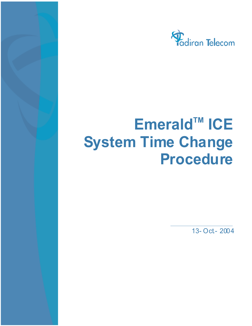

## $Emerald<sup>TM</sup>$  **ICE System Time Change Procedure**

13- Oct - 2004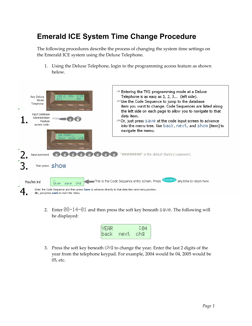## **Emerald ICE System Time Change Procedure**

The following procedures describe the process of changing the system time settings on the Emerald ICE system using the Deluxe Telephone.

1. Using the Deluxe Telephone, login to the programming access feature as shown below.



2. Enter  $08-14-01$  and then press the soft key beneath  $5a$ ve. The following will be displayed:



3. Press the soft key beneath  $\Box \Box \Box$  to change the year. Enter the last 2 digits of the year from the telephone keypad. For example, 2004 would be 04, 2005 would be 05, etc.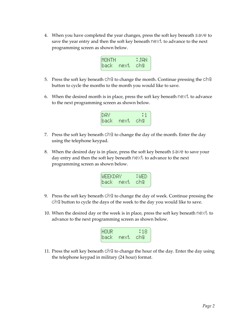4. When you have completed the year changes, press the soft key beneath  $\equiv \exists \vee \equiv$  to save the year entry and then the soft key beneath  $\mathbf{r} \in \mathbb{R}^+$  to advance to the next programming screen as shown below.

|  | × |
|--|---|
|  |   |
|  |   |
|  |   |

- 5. Press the soft key beneath cheg to change the month. Continue pressing the ch button to cycle the months to the month you would like to save.
- 6. When the desired month is in place, press the soft key beneath  $n \in \mathbb{X}^+$  to advance to the next programming screen as shown below.



- 7. Press the soft key beneath  $\Box \Box$  to change the day of the month. Enter the day using the telephone keypad.
- 8. When the desired day is in place, press the soft key beneath  $\leq \psi \in \mathfrak{t}$  save your day entry and then the soft key beneath next to advance to the next programming screen as shown below.



- 9. Press the soft key beneath  $\circ$  in the change the day of week. Continue pressing the  $\Box$  and button to cycle the days of the week to the day you would like to save.
- 10. When the desired day or the week is in place, press the soft key beneath next to advance to the next programming screen as shown below.



11. Press the soft key beneath  $\Box \Box$  to change the hour of the day. Enter the day using the telephone keypad in military (24 hour) format.